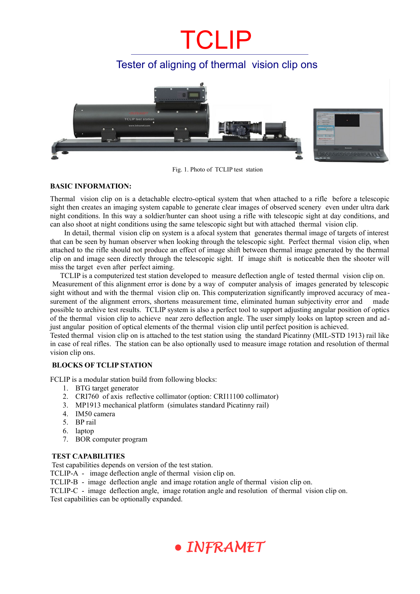## CLIP

### Tester of aligning of thermal vision clip ons



Fig. 1. Photo of TCLIP test station

#### **BASIC INFORMATION:**

Thermal vision clip on is a detachable electro-optical system that when attached to a rifle before a telescopic sight then creates an imaging system capable to generate clear images of observed scenery even under ultra dark night conditions. In this way a soldier/hunter can shoot using a rifle with telescopic sight at day conditions, and can also shoot at night conditions using the same telescopic sight but with attached thermal vision clip.

 In detail, thermal vision clip on system is a afocal system that generates thermal image of targets of interest that can be seen by human observer when looking through the telescopic sight. Perfect thermal vision clip, when attached to the rifle should not produce an effect of image shift between thermal image generated by the thermal clip on and image seen directly through the telescopic sight. If image shift is noticeable then the shooter will miss the target even after perfect aiming.

TCLIP is a computerized test station developed to measure deflection angle of tested thermal vision clip on. Measurement of this alignment error is done by a way of computer analysis of images generated by telescopic sight without and with the thermal vision clip on. This computerization significantly improved accuracy of measurement of the alignment errors, shortens measurement time, eliminated human subjectivity error and made possible to archive test results. TCLIP system is also a perfect tool to support adjusting angular position of optics of the thermal vision clip to achieve near zero deflection angle. The user simply looks on laptop screen and adjust angular position of optical elements of the thermal vision clip until perfect position is achieved.

Tested thermal vision clip on is attached to the test station using the standard Picatinny (MIL-STD 1913) rail like in case of real rifles. The station can be also optionally used to measure image rotation and resolution of thermal vision clip ons.

#### **BLOCKS OF TCLIP STATION**

FCLIP is a modular station build from following blocks:

- 1. BTG target generator
- 2. CRI760 of axis reflective collimator (option: CRI11100 collimator)
- 3. MP1913 mechanical platform (simulates standard Picatinny rail)
- 4. IM50 camera
- 5. BP rail
- 6. laptop
- 7. BOR computer program

#### **TEST CAPABILITIES**

Test capabilities depends on version of the test station.

TCLIP-A - image deflection angle of thermal vision clip on.

TCLIP-B - image deflection angle and image rotation angle of thermal vision clip on.

TCLIP-C - image deflection angle, image rotation angle and resolution of thermal vision clip on. Test capabilities can be optionally expanded.